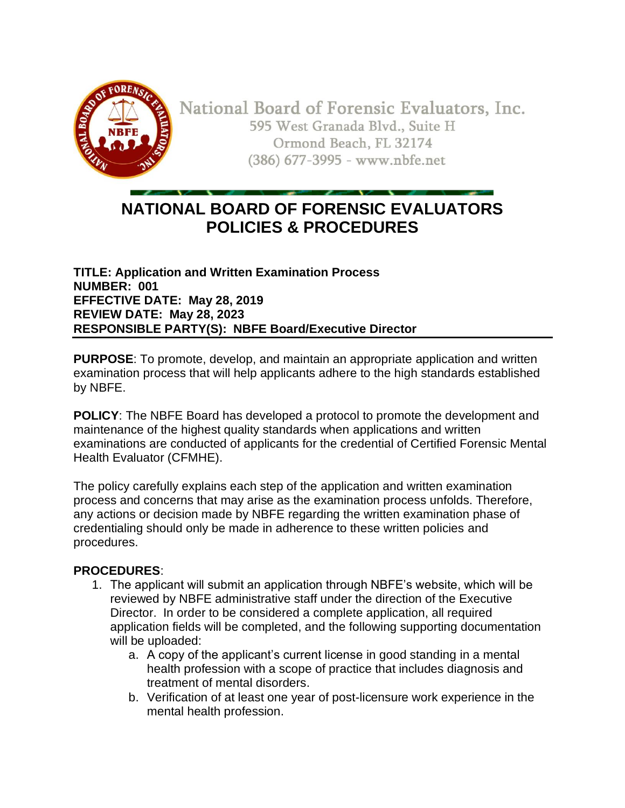

National Board of Forensic Evaluators, Inc. 595 West Granada Blvd., Suite H Ormond Beach, FL 32174 (386) 677-3995 - www.nbfe.net

# **NATIONAL BOARD OF FORENSIC EVALUATORS POLICIES & PROCEDURES**

**TITLE: Application and Written Examination Process NUMBER: 001 EFFECTIVE DATE: May 28, 2019 REVIEW DATE: May 28, 2023 RESPONSIBLE PARTY(S): NBFE Board/Executive Director**

**PURPOSE**: To promote, develop, and maintain an appropriate application and written examination process that will help applicants adhere to the high standards established by NBFE.

**POLICY**: The NBFE Board has developed a protocol to promote the development and maintenance of the highest quality standards when applications and written examinations are conducted of applicants for the credential of Certified Forensic Mental Health Evaluator (CFMHE).

The policy carefully explains each step of the application and written examination process and concerns that may arise as the examination process unfolds. Therefore, any actions or decision made by NBFE regarding the written examination phase of credentialing should only be made in adherence to these written policies and procedures.

### **PROCEDURES**:

- 1. The applicant will submit an application through NBFE's website, which will be reviewed by NBFE administrative staff under the direction of the Executive Director. In order to be considered a complete application, all required application fields will be completed, and the following supporting documentation will be uploaded:
	- a. A copy of the applicant's current license in good standing in a mental health profession with a scope of practice that includes diagnosis and treatment of mental disorders.
	- b. Verification of at least one year of post-licensure work experience in the mental health profession.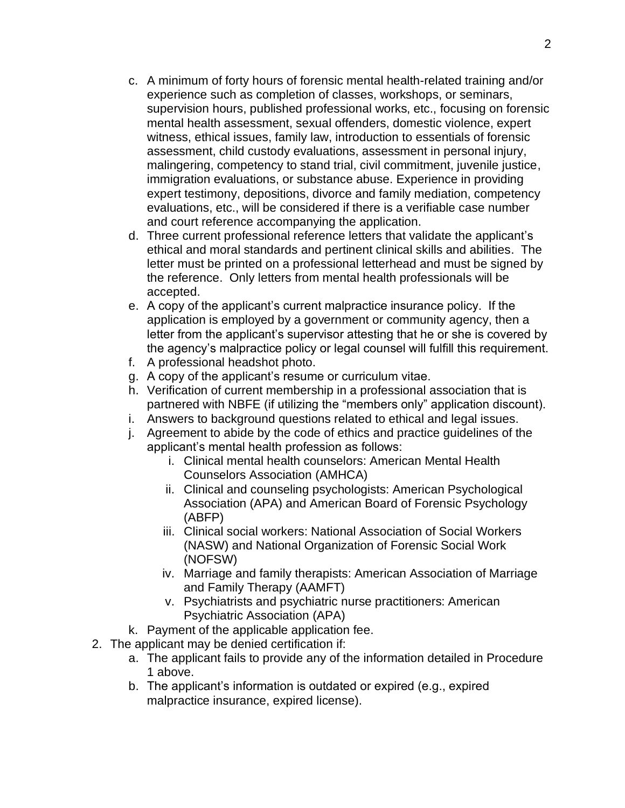- c. A minimum of forty hours of forensic mental health-related training and/or experience such as completion of classes, workshops, or seminars, supervision hours, published professional works, etc., focusing on forensic mental health assessment, sexual offenders, domestic violence, expert witness, ethical issues, family law, introduction to essentials of forensic assessment, child custody evaluations, assessment in personal injury, malingering, competency to stand trial, civil commitment, juvenile justice, immigration evaluations, or substance abuse. Experience in providing expert testimony, depositions, divorce and family mediation, competency evaluations, etc., will be considered if there is a verifiable case number and court reference accompanying the application.
- d. Three current professional reference letters that validate the applicant's ethical and moral standards and pertinent clinical skills and abilities. The letter must be printed on a professional letterhead and must be signed by the reference. Only letters from mental health professionals will be accepted.
- e. A copy of the applicant's current malpractice insurance policy. If the application is employed by a government or community agency, then a letter from the applicant's supervisor attesting that he or she is covered by the agency's malpractice policy or legal counsel will fulfill this requirement.
- f. A professional headshot photo.
- g. A copy of the applicant's resume or curriculum vitae.
- h. Verification of current membership in a professional association that is partnered with NBFE (if utilizing the "members only" application discount).
- i. Answers to background questions related to ethical and legal issues.
- j. Agreement to abide by the code of ethics and practice guidelines of the applicant's mental health profession as follows:
	- i. Clinical mental health counselors: American Mental Health Counselors Association (AMHCA)
	- ii. Clinical and counseling psychologists: American Psychological Association (APA) and American Board of Forensic Psychology (ABFP)
	- iii. Clinical social workers: National Association of Social Workers (NASW) and National Organization of Forensic Social Work (NOFSW)
	- iv. Marriage and family therapists: American Association of Marriage and Family Therapy (AAMFT)
	- v. Psychiatrists and psychiatric nurse practitioners: American Psychiatric Association (APA)
- k. Payment of the applicable application fee.
- 2. The applicant may be denied certification if:
	- a. The applicant fails to provide any of the information detailed in Procedure 1 above.
	- b. The applicant's information is outdated or expired (e.g., expired malpractice insurance, expired license).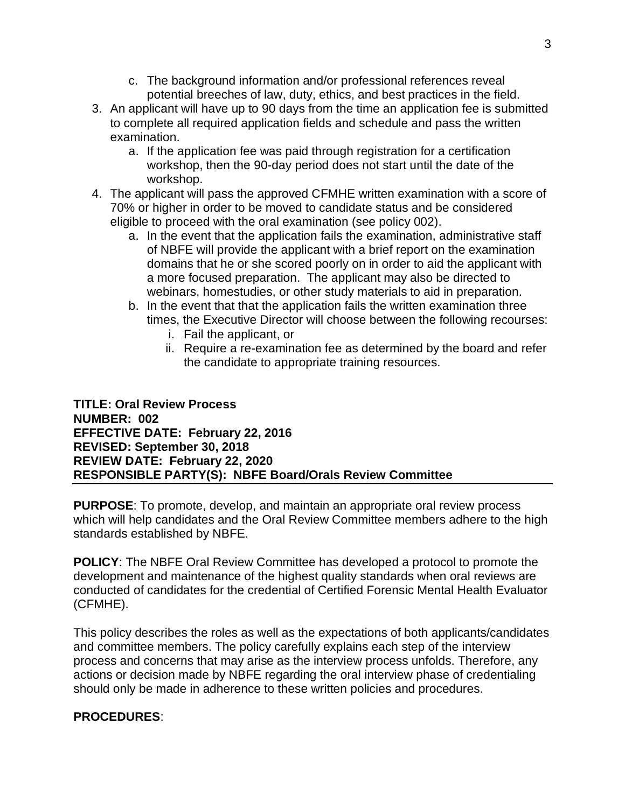- c. The background information and/or professional references reveal potential breeches of law, duty, ethics, and best practices in the field.
- 3. An applicant will have up to 90 days from the time an application fee is submitted to complete all required application fields and schedule and pass the written examination.
	- a. If the application fee was paid through registration for a certification workshop, then the 90-day period does not start until the date of the workshop.
- 4. The applicant will pass the approved CFMHE written examination with a score of 70% or higher in order to be moved to candidate status and be considered eligible to proceed with the oral examination (see policy 002).
	- a. In the event that the application fails the examination, administrative staff of NBFE will provide the applicant with a brief report on the examination domains that he or she scored poorly on in order to aid the applicant with a more focused preparation. The applicant may also be directed to webinars, homestudies, or other study materials to aid in preparation.
	- b. In the event that that the application fails the written examination three times, the Executive Director will choose between the following recourses:
		- i. Fail the applicant, or
		- ii. Require a re-examination fee as determined by the board and refer the candidate to appropriate training resources.

#### **TITLE: Oral Review Process NUMBER: 002 EFFECTIVE DATE: February 22, 2016 REVISED: September 30, 2018 REVIEW DATE: February 22, 2020 RESPONSIBLE PARTY(S): NBFE Board/Orals Review Committee**

**PURPOSE**: To promote, develop, and maintain an appropriate oral review process which will help candidates and the Oral Review Committee members adhere to the high standards established by NBFE.

**POLICY**: The NBFE Oral Review Committee has developed a protocol to promote the development and maintenance of the highest quality standards when oral reviews are conducted of candidates for the credential of Certified Forensic Mental Health Evaluator (CFMHE).

This policy describes the roles as well as the expectations of both applicants/candidates and committee members. The policy carefully explains each step of the interview process and concerns that may arise as the interview process unfolds. Therefore, any actions or decision made by NBFE regarding the oral interview phase of credentialing should only be made in adherence to these written policies and procedures.

### **PROCEDURES**: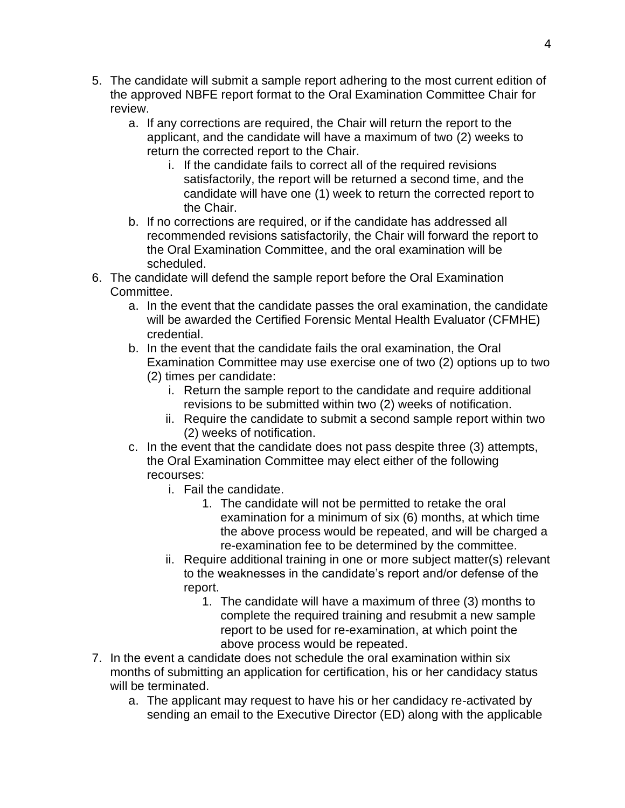- 5. The candidate will submit a sample report adhering to the most current edition of the approved NBFE report format to the Oral Examination Committee Chair for review.
	- a. If any corrections are required, the Chair will return the report to the applicant, and the candidate will have a maximum of two (2) weeks to return the corrected report to the Chair.
		- i. If the candidate fails to correct all of the required revisions satisfactorily, the report will be returned a second time, and the candidate will have one (1) week to return the corrected report to the Chair.
	- b. If no corrections are required, or if the candidate has addressed all recommended revisions satisfactorily, the Chair will forward the report to the Oral Examination Committee, and the oral examination will be scheduled.
- 6. The candidate will defend the sample report before the Oral Examination Committee.
	- a. In the event that the candidate passes the oral examination, the candidate will be awarded the Certified Forensic Mental Health Evaluator (CFMHE) credential.
	- b. In the event that the candidate fails the oral examination, the Oral Examination Committee may use exercise one of two (2) options up to two (2) times per candidate:
		- i. Return the sample report to the candidate and require additional revisions to be submitted within two (2) weeks of notification.
		- ii. Require the candidate to submit a second sample report within two (2) weeks of notification.
	- c. In the event that the candidate does not pass despite three (3) attempts, the Oral Examination Committee may elect either of the following recourses:
		- i. Fail the candidate.
			- 1. The candidate will not be permitted to retake the oral examination for a minimum of six (6) months, at which time the above process would be repeated, and will be charged a re-examination fee to be determined by the committee.
		- ii. Require additional training in one or more subject matter(s) relevant to the weaknesses in the candidate's report and/or defense of the report.
			- 1. The candidate will have a maximum of three (3) months to complete the required training and resubmit a new sample report to be used for re-examination, at which point the above process would be repeated.
- 7. In the event a candidate does not schedule the oral examination within six months of submitting an application for certification, his or her candidacy status will be terminated.
	- a. The applicant may request to have his or her candidacy re-activated by sending an email to the Executive Director (ED) along with the applicable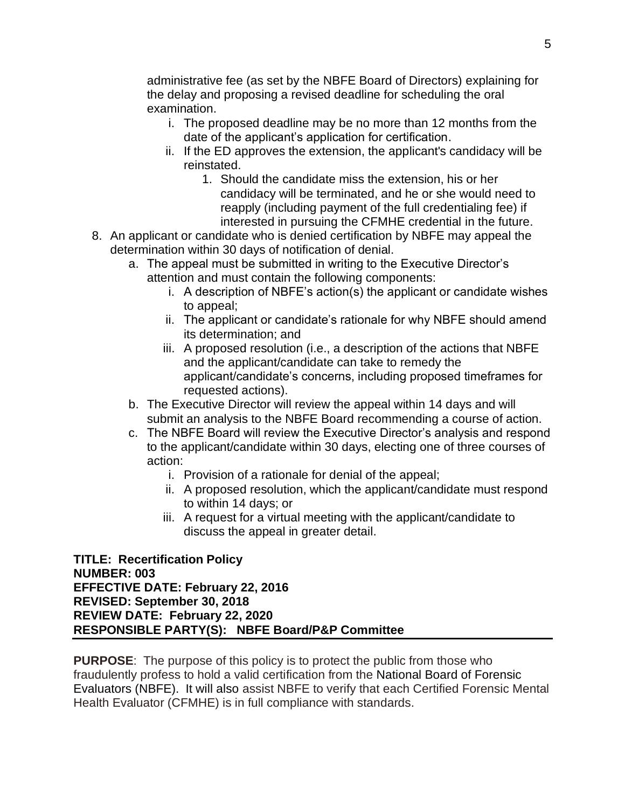administrative fee (as set by the NBFE Board of Directors) explaining for the delay and proposing a revised deadline for scheduling the oral examination.

- i. The proposed deadline may be no more than 12 months from the date of the applicant's application for certification.
- ii. If the ED approves the extension, the applicant's candidacy will be reinstated.
	- 1. Should the candidate miss the extension, his or her candidacy will be terminated, and he or she would need to reapply (including payment of the full credentialing fee) if interested in pursuing the CFMHE credential in the future.
- 8. An applicant or candidate who is denied certification by NBFE may appeal the determination within 30 days of notification of denial.
	- a. The appeal must be submitted in writing to the Executive Director's attention and must contain the following components:
		- i. A description of NBFE's action(s) the applicant or candidate wishes to appeal;
		- ii. The applicant or candidate's rationale for why NBFE should amend its determination; and
		- iii. A proposed resolution (i.e., a description of the actions that NBFE and the applicant/candidate can take to remedy the applicant/candidate's concerns, including proposed timeframes for requested actions).
	- b. The Executive Director will review the appeal within 14 days and will submit an analysis to the NBFE Board recommending a course of action.
	- c. The NBFE Board will review the Executive Director's analysis and respond to the applicant/candidate within 30 days, electing one of three courses of action:
		- i. Provision of a rationale for denial of the appeal;
		- ii. A proposed resolution, which the applicant/candidate must respond to within 14 days; or
		- iii. A request for a virtual meeting with the applicant/candidate to discuss the appeal in greater detail.

**TITLE: Recertification Policy NUMBER: 003 EFFECTIVE DATE: February 22, 2016 REVISED: September 30, 2018 REVIEW DATE: February 22, 2020 RESPONSIBLE PARTY(S): NBFE Board/P&P Committee** 

**PURPOSE**: The purpose of this policy is to protect the public from those who fraudulently profess to hold a valid certification from the National Board of Forensic Evaluators (NBFE). It will also assist NBFE to verify that each Certified Forensic Mental Health Evaluator (CFMHE) is in full compliance with standards.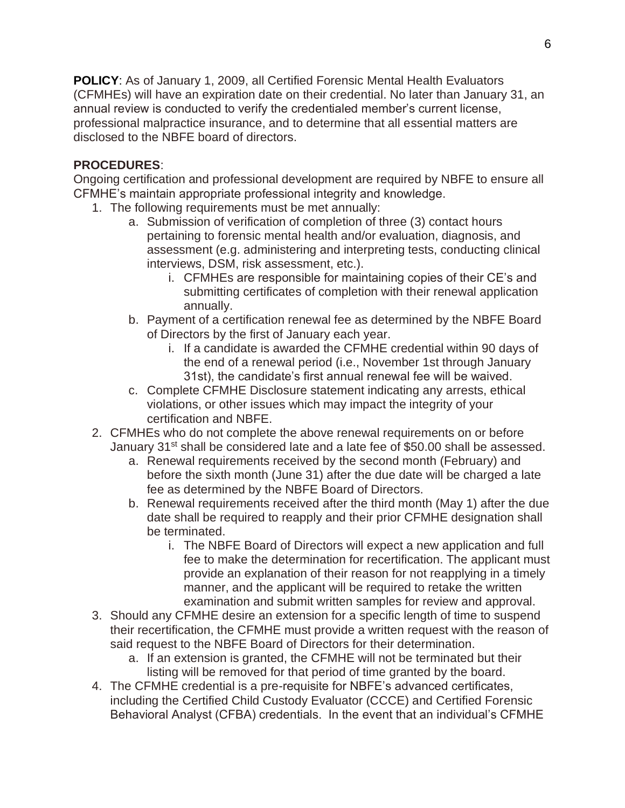**POLICY**: As of January 1, 2009, all Certified Forensic Mental Health Evaluators (CFMHEs) will have an expiration date on their credential. No later than January 31, an annual review is conducted to verify the credentialed member's current license, professional malpractice insurance, and to determine that all essential matters are disclosed to the NBFE board of directors.

### **PROCEDURES**:

Ongoing certification and professional development are required by NBFE to ensure all CFMHE's maintain appropriate professional integrity and knowledge.

- 1. The following requirements must be met annually:
	- a. Submission of verification of completion of three (3) contact hours pertaining to forensic mental health and/or evaluation, diagnosis, and assessment (e.g. administering and interpreting tests, conducting clinical interviews, DSM, risk assessment, etc.).
		- i. CFMHEs are responsible for maintaining copies of their CE's and submitting certificates of completion with their renewal application annually.
	- b. Payment of a certification renewal fee as determined by the NBFE Board of Directors by the first of January each year.
		- i. If a candidate is awarded the CFMHE credential within 90 days of the end of a renewal period (i.e., November 1st through January 31st), the candidate's first annual renewal fee will be waived.
	- c. Complete CFMHE Disclosure statement indicating any arrests, ethical violations, or other issues which may impact the integrity of your certification and NBFE.
- 2. CFMHEs who do not complete the above renewal requirements on or before January 31<sup>st</sup> shall be considered late and a late fee of \$50.00 shall be assessed.
	- a. Renewal requirements received by the second month (February) and before the sixth month (June 31) after the due date will be charged a late fee as determined by the NBFE Board of Directors.
	- b. Renewal requirements received after the third month (May 1) after the due date shall be required to reapply and their prior CFMHE designation shall be terminated.
		- i. The NBFE Board of Directors will expect a new application and full fee to make the determination for recertification. The applicant must provide an explanation of their reason for not reapplying in a timely manner, and the applicant will be required to retake the written examination and submit written samples for review and approval.
- 3. Should any CFMHE desire an extension for a specific length of time to suspend their recertification, the CFMHE must provide a written request with the reason of said request to the NBFE Board of Directors for their determination.
	- a. If an extension is granted, the CFMHE will not be terminated but their listing will be removed for that period of time granted by the board.
- 4. The CFMHE credential is a pre-requisite for NBFE's advanced certificates, including the Certified Child Custody Evaluator (CCCE) and Certified Forensic Behavioral Analyst (CFBA) credentials. In the event that an individual's CFMHE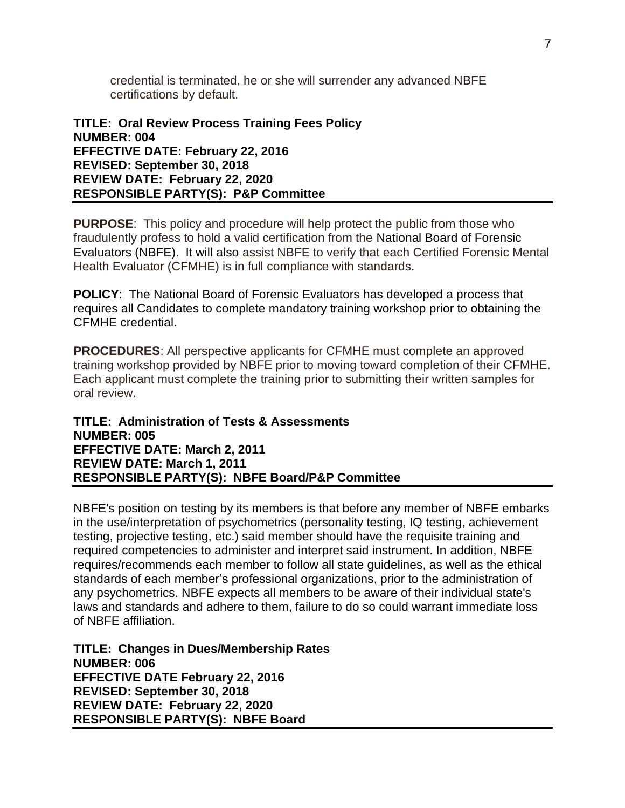credential is terminated, he or she will surrender any advanced NBFE certifications by default.

#### **TITLE: Oral Review Process Training Fees Policy NUMBER: 004 EFFECTIVE DATE: February 22, 2016 REVISED: September 30, 2018 REVIEW DATE: February 22, 2020 RESPONSIBLE PARTY(S): P&P Committee**

**PURPOSE**: This policy and procedure will help protect the public from those who fraudulently profess to hold a valid certification from the National Board of Forensic Evaluators (NBFE). It will also assist NBFE to verify that each Certified Forensic Mental Health Evaluator (CFMHE) is in full compliance with standards.

**POLICY**: The National Board of Forensic Evaluators has developed a process that requires all Candidates to complete mandatory training workshop prior to obtaining the CFMHE credential.

**PROCEDURES**: All perspective applicants for CFMHE must complete an approved training workshop provided by NBFE prior to moving toward completion of their CFMHE. Each applicant must complete the training prior to submitting their written samples for oral review.

#### **TITLE: Administration of Tests & Assessments NUMBER: 005 EFFECTIVE DATE: March 2, 2011 REVIEW DATE: March 1, 2011 RESPONSIBLE PARTY(S): NBFE Board/P&P Committee**

NBFE's position on testing by its members is that before any member of NBFE embarks in the use/interpretation of psychometrics (personality testing, IQ testing, achievement testing, projective testing, etc.) said member should have the requisite training and required competencies to administer and interpret said instrument. In addition, NBFE requires/recommends each member to follow all state guidelines, as well as the ethical standards of each member's professional organizations, prior to the administration of any psychometrics. NBFE expects all members to be aware of their individual state's laws and standards and adhere to them, failure to do so could warrant immediate loss of NBFE affiliation.

**TITLE: Changes in Dues/Membership Rates NUMBER: 006 EFFECTIVE DATE February 22, 2016 REVISED: September 30, 2018 REVIEW DATE: February 22, 2020 RESPONSIBLE PARTY(S): NBFE Board**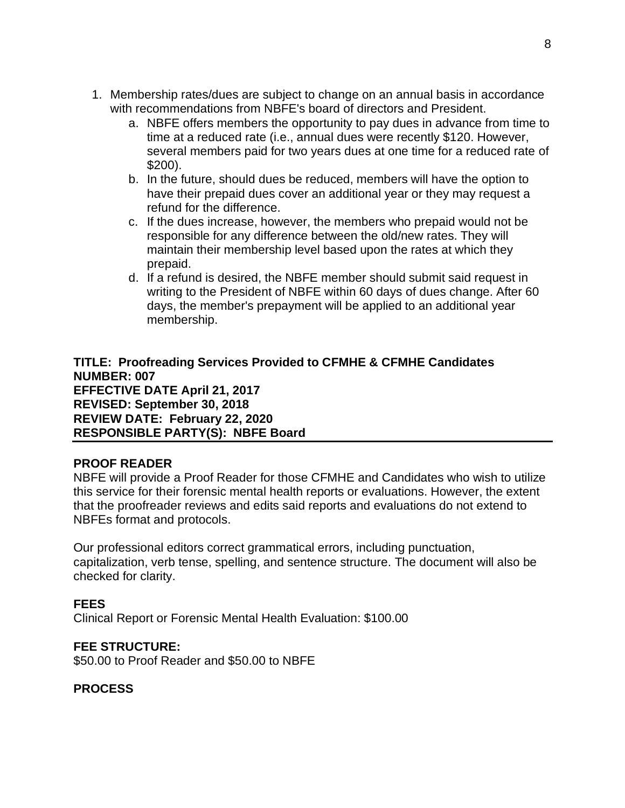- 1. Membership rates/dues are subject to change on an annual basis in accordance with recommendations from NBFE's board of directors and President.
	- a. NBFE offers members the opportunity to pay dues in advance from time to time at a reduced rate (i.e., annual dues were recently \$120. However, several members paid for two years dues at one time for a reduced rate of \$200).
	- b. In the future, should dues be reduced, members will have the option to have their prepaid dues cover an additional year or they may request a refund for the difference.
	- c. If the dues increase, however, the members who prepaid would not be responsible for any difference between the old/new rates. They will maintain their membership level based upon the rates at which they prepaid.
	- d. If a refund is desired, the NBFE member should submit said request in writing to the President of NBFE within 60 days of dues change. After 60 days, the member's prepayment will be applied to an additional year membership.

**TITLE: Proofreading Services Provided to CFMHE & CFMHE Candidates NUMBER: 007 EFFECTIVE DATE April 21, 2017 REVISED: September 30, 2018 REVIEW DATE: February 22, 2020 RESPONSIBLE PARTY(S): NBFE Board** 

#### **PROOF READER**

NBFE will provide a Proof Reader for those CFMHE and Candidates who wish to utilize this service for their forensic mental health reports or evaluations. However, the extent that the proofreader reviews and edits said reports and evaluations do not extend to NBFEs format and protocols.

Our professional editors correct grammatical errors, including punctuation, capitalization, verb tense, spelling, and sentence structure. The document will also be checked for clarity.

#### **FEES**

Clinical Report or Forensic Mental Health Evaluation: \$100.00

#### **FEE STRUCTURE:**

\$50.00 to Proof Reader and \$50.00 to NBFE

### **PROCESS**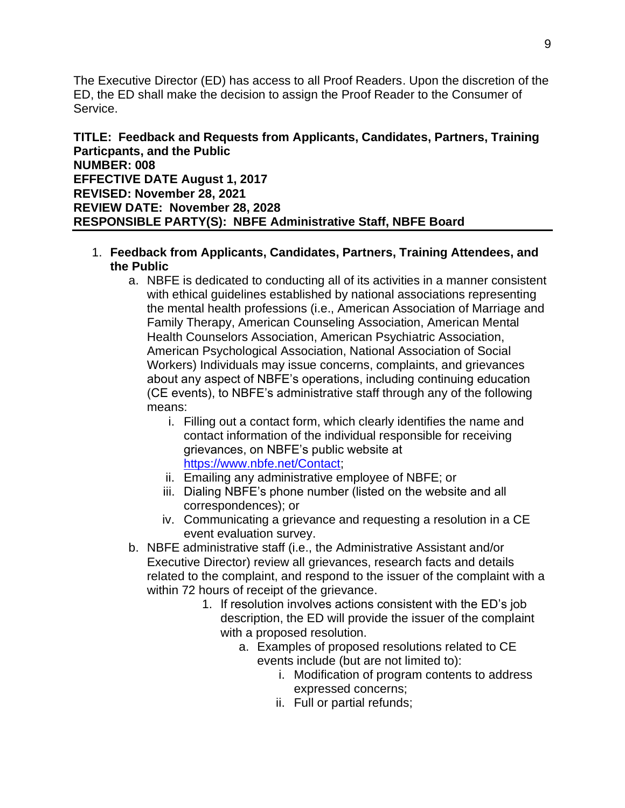The Executive Director (ED) has access to all Proof Readers. Upon the discretion of the ED, the ED shall make the decision to assign the Proof Reader to the Consumer of Service.

**TITLE: Feedback and Requests from Applicants, Candidates, Partners, Training Particpants, and the Public NUMBER: 008 EFFECTIVE DATE August 1, 2017 REVISED: November 28, 2021 REVIEW DATE: November 28, 2028 RESPONSIBLE PARTY(S): NBFE Administrative Staff, NBFE Board** 

- 1. **Feedback from Applicants, Candidates, Partners, Training Attendees, and the Public**
	- a. NBFE is dedicated to conducting all of its activities in a manner consistent with ethical guidelines established by national associations representing the mental health professions (i.e., American Association of Marriage and Family Therapy, American Counseling Association, American Mental Health Counselors Association, American Psychiatric Association, American Psychological Association, National Association of Social Workers) Individuals may issue concerns, complaints, and grievances about any aspect of NBFE's operations, including continuing education (CE events), to NBFE's administrative staff through any of the following means:
		- i. Filling out a contact form, which clearly identifies the name and contact information of the individual responsible for receiving grievances, on NBFE's public website at [https://www.nbfe.net/Contact;](https://www.nbfe.net/Contact)
		- ii. Emailing any administrative employee of NBFE; or
		- iii. Dialing NBFE's phone number (listed on the website and all correspondences); or
		- iv. Communicating a grievance and requesting a resolution in a CE event evaluation survey.
	- b. NBFE administrative staff (i.e., the Administrative Assistant and/or Executive Director) review all grievances, research facts and details related to the complaint, and respond to the issuer of the complaint with a within 72 hours of receipt of the grievance.
		- 1. If resolution involves actions consistent with the ED's job description, the ED will provide the issuer of the complaint with a proposed resolution.
			- a. Examples of proposed resolutions related to CE events include (but are not limited to):
				- i. Modification of program contents to address expressed concerns;
				- ii. Full or partial refunds;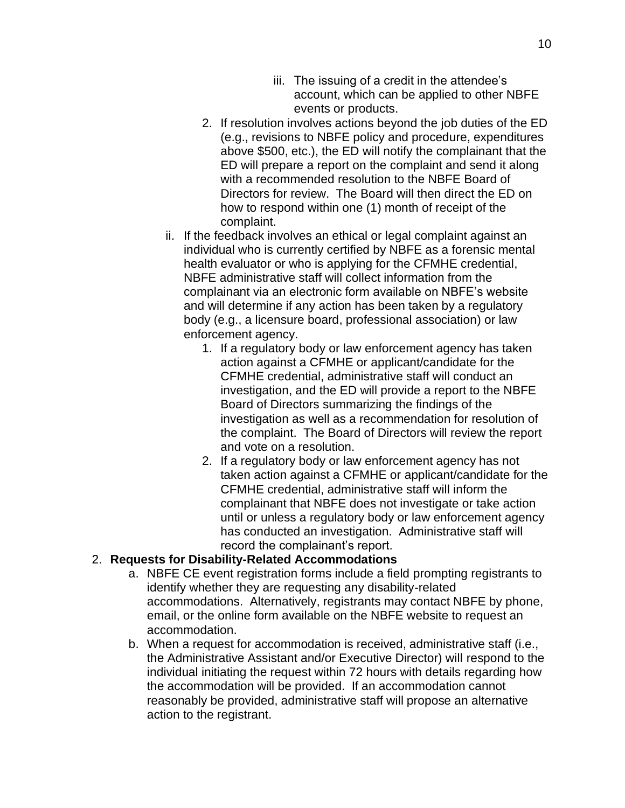- iii. The issuing of a credit in the attendee's account, which can be applied to other NBFE events or products.
- 2. If resolution involves actions beyond the job duties of the ED (e.g., revisions to NBFE policy and procedure, expenditures above \$500, etc.), the ED will notify the complainant that the ED will prepare a report on the complaint and send it along with a recommended resolution to the NBFE Board of Directors for review. The Board will then direct the ED on how to respond within one (1) month of receipt of the complaint.
- ii. If the feedback involves an ethical or legal complaint against an individual who is currently certified by NBFE as a forensic mental health evaluator or who is applying for the CFMHE credential, NBFE administrative staff will collect information from the complainant via an electronic form available on NBFE's website and will determine if any action has been taken by a regulatory body (e.g., a licensure board, professional association) or law enforcement agency.
	- 1. If a regulatory body or law enforcement agency has taken action against a CFMHE or applicant/candidate for the CFMHE credential, administrative staff will conduct an investigation, and the ED will provide a report to the NBFE Board of Directors summarizing the findings of the investigation as well as a recommendation for resolution of the complaint. The Board of Directors will review the report and vote on a resolution.
	- 2. If a regulatory body or law enforcement agency has not taken action against a CFMHE or applicant/candidate for the CFMHE credential, administrative staff will inform the complainant that NBFE does not investigate or take action until or unless a regulatory body or law enforcement agency has conducted an investigation. Administrative staff will record the complainant's report.

### 2. **Requests for Disability-Related Accommodations**

- a. NBFE CE event registration forms include a field prompting registrants to identify whether they are requesting any disability-related accommodations. Alternatively, registrants may contact NBFE by phone, email, or the online form available on the NBFE website to request an accommodation.
- b. When a request for accommodation is received, administrative staff (i.e., the Administrative Assistant and/or Executive Director) will respond to the individual initiating the request within 72 hours with details regarding how the accommodation will be provided. If an accommodation cannot reasonably be provided, administrative staff will propose an alternative action to the registrant.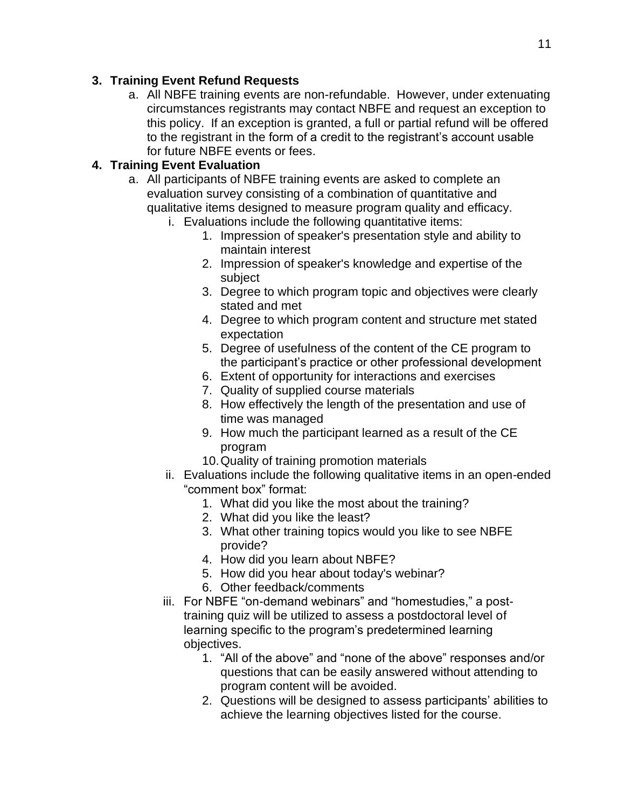## **3. Training Event Refund Requests**

a. All NBFE training events are non-refundable. However, under extenuating circumstances registrants may contact NBFE and request an exception to this policy. If an exception is granted, a full or partial refund will be offered to the registrant in the form of a credit to the registrant's account usable for future NBFE events or fees.

# **4. Training Event Evaluation**

- a. All participants of NBFE training events are asked to complete an evaluation survey consisting of a combination of quantitative and qualitative items designed to measure program quality and efficacy.
	- i. Evaluations include the following quantitative items:
		- 1. Impression of speaker's presentation style and ability to maintain interest
		- 2. Impression of speaker's knowledge and expertise of the subject
		- 3. Degree to which program topic and objectives were clearly stated and met
		- 4. Degree to which program content and structure met stated expectation
		- 5. Degree of usefulness of the content of the CE program to the participant's practice or other professional development
		- 6. Extent of opportunity for interactions and exercises
		- 7. Quality of supplied course materials
		- 8. How effectively the length of the presentation and use of time was managed
		- 9. How much the participant learned as a result of the CE program
		- 10.Quality of training promotion materials
	- ii. Evaluations include the following qualitative items in an open-ended "comment box" format:
		- 1. What did you like the most about the training?
		- 2. What did you like the least?
		- 3. What other training topics would you like to see NBFE provide?
		- 4. How did you learn about NBFE?
		- 5. How did you hear about today's webinar?
		- 6. Other feedback/comments
	- iii. For NBFE "on-demand webinars" and "homestudies," a posttraining quiz will be utilized to assess a postdoctoral level of learning specific to the program's predetermined learning objectives.
		- 1. "All of the above" and "none of the above" responses and/or questions that can be easily answered without attending to program content will be avoided.
		- 2. Questions will be designed to assess participants' abilities to achieve the learning objectives listed for the course.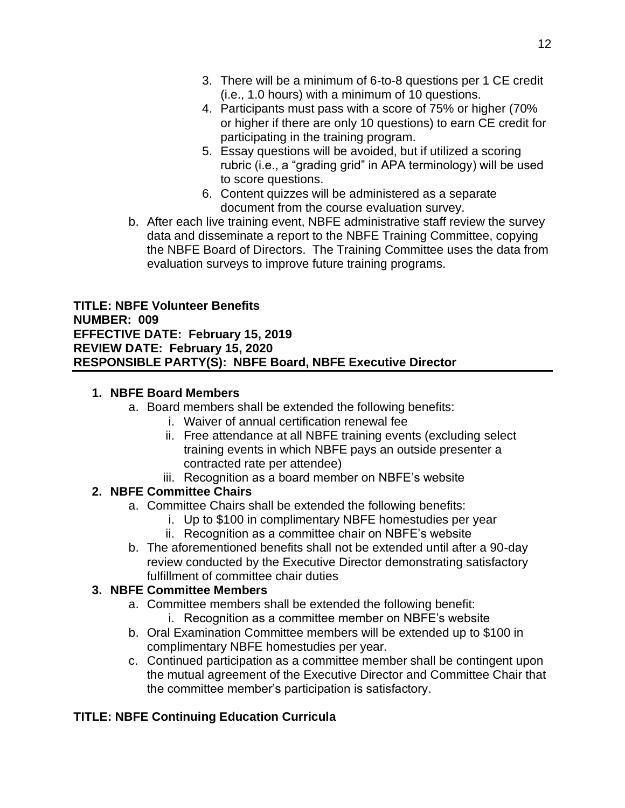- 3. There will be a minimum of 6-to-8 questions per 1 CE credit (i.e., 1.0 hours) with a minimum of 10 questions.
- 4. Participants must pass with a score of 75% or higher (70% or higher if there are only 10 questions) to earn CE credit for participating in the training program.
- 5. Essay questions will be avoided, but if utilized a scoring rubric (i.e., a "grading grid" in APA terminology) will be used to score questions.
- 6. Content quizzes will be administered as a separate document from the course evaluation survey.
- b. After each live training event, NBFE administrative staff review the survey data and disseminate a report to the NBFE Training Committee, copying the NBFE Board of Directors. The Training Committee uses the data from evaluation surveys to improve future training programs.

**TITLE: NBFE Volunteer Benefits NUMBER: 009 EFFECTIVE DATE: February 15, 2019 REVIEW DATE: February 15, 2020 RESPONSIBLE PARTY(S): NBFE Board, NBFE Executive Director**

# **1. NBFE Board Members**

- a. Board members shall be extended the following benefits:
	- i. Waiver of annual certification renewal fee
	- ii. Free attendance at all NBFE training events (excluding select training events in which NBFE pays an outside presenter a contracted rate per attendee)
	- iii. Recognition as a board member on NBFE's website

# **2. NBFE Committee Chairs**

- a. Committee Chairs shall be extended the following benefits:
	- i. Up to \$100 in complimentary NBFE homestudies per year
	- ii. Recognition as a committee chair on NBFE's website
- b. The aforementioned benefits shall not be extended until after a 90-day review conducted by the Executive Director demonstrating satisfactory fulfillment of committee chair duties

# **3. NBFE Committee Members**

- a. Committee members shall be extended the following benefit:
	- i. Recognition as a committee member on NBFE's website
- b. Oral Examination Committee members will be extended up to \$100 in complimentary NBFE homestudies per year.
- c. Continued participation as a committee member shall be contingent upon the mutual agreement of the Executive Director and Committee Chair that the committee member's participation is satisfactory.

# **TITLE: NBFE Continuing Education Curricula**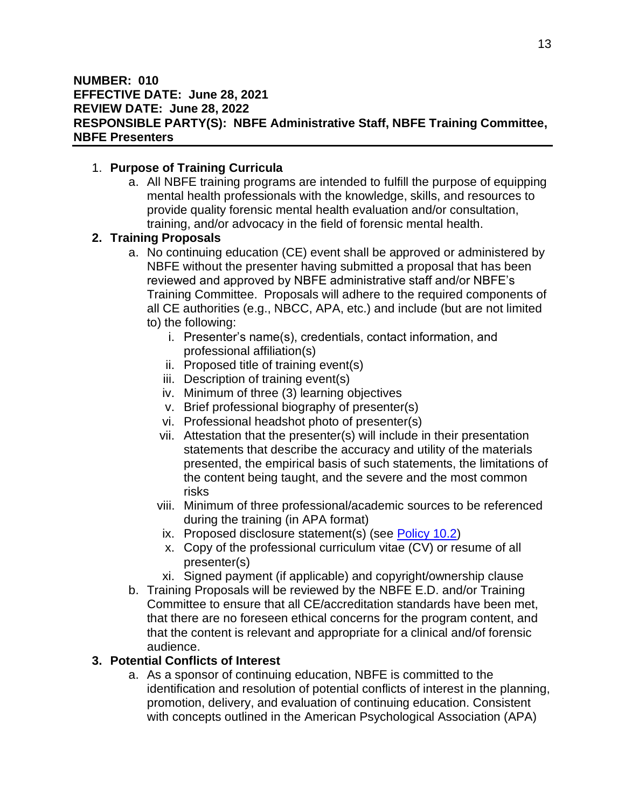### 1. **Purpose of Training Curricula**

a. All NBFE training programs are intended to fulfill the purpose of equipping mental health professionals with the knowledge, skills, and resources to provide quality forensic mental health evaluation and/or consultation, training, and/or advocacy in the field of forensic mental health.

# **2. Training Proposals**

- a. No continuing education (CE) event shall be approved or administered by NBFE without the presenter having submitted a proposal that has been reviewed and approved by NBFE administrative staff and/or NBFE's Training Committee. Proposals will adhere to the required components of all CE authorities (e.g., NBCC, APA, etc.) and include (but are not limited to) the following:
	- i. Presenter's name(s), credentials, contact information, and professional affiliation(s)
	- ii. Proposed title of training event(s)
	- iii. Description of training event(s)
	- iv. Minimum of three (3) learning objectives
	- v. Brief professional biography of presenter(s)
	- vi. Professional headshot photo of presenter(s)
	- vii. Attestation that the presenter(s) will include in their presentation statements that describe the accuracy and utility of the materials presented, the empirical basis of such statements, the limitations of the content being taught, and the severe and the most common risks
	- viii. Minimum of three professional/academic sources to be referenced during the training (in APA format)
	- ix. Proposed disclosure statement(s) (see [Policy 10.2\)](#page-12-0)
	- x. Copy of the professional curriculum vitae (CV) or resume of all presenter(s)
	- xi. Signed payment (if applicable) and copyright/ownership clause
- b. Training Proposals will be reviewed by the NBFE E.D. and/or Training Committee to ensure that all CE/accreditation standards have been met, that there are no foreseen ethical concerns for the program content, and that the content is relevant and appropriate for a clinical and/of forensic audience.

# <span id="page-12-0"></span>**3. Potential Conflicts of Interest**

a. As a sponsor of continuing education, NBFE is committed to the identification and resolution of potential conflicts of interest in the planning, promotion, delivery, and evaluation of continuing education. Consistent with concepts outlined in the American Psychological Association (APA)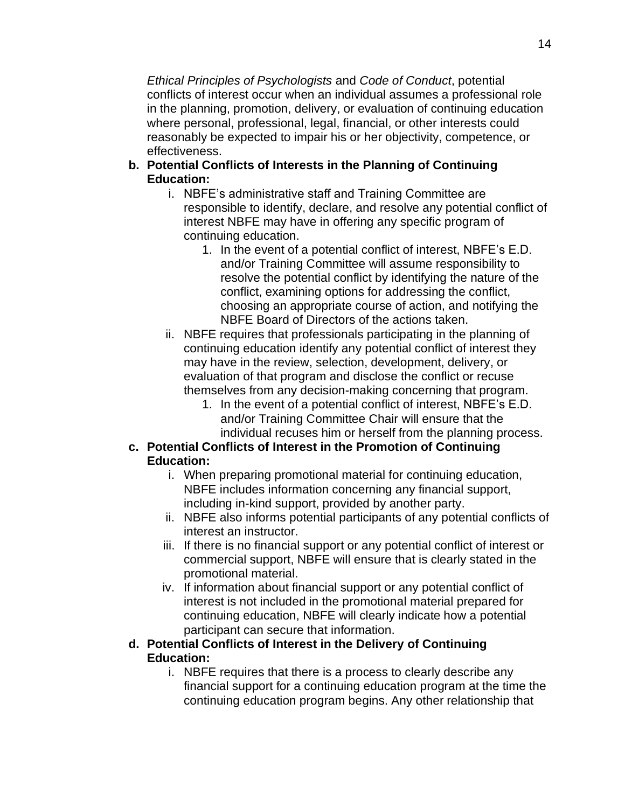*Ethical Principles of Psychologists* and *Code of Conduct*, potential conflicts of interest occur when an individual assumes a professional role in the planning, promotion, delivery, or evaluation of continuing education where personal, professional, legal, financial, or other interests could reasonably be expected to impair his or her objectivity, competence, or effectiveness.

- **b. Potential Conflicts of Interests in the Planning of Continuing Education:**
	- i. NBFE's administrative staff and Training Committee are responsible to identify, declare, and resolve any potential conflict of interest NBFE may have in offering any specific program of continuing education.
		- 1. In the event of a potential conflict of interest, NBFE's E.D. and/or Training Committee will assume responsibility to resolve the potential conflict by identifying the nature of the conflict, examining options for addressing the conflict, choosing an appropriate course of action, and notifying the NBFE Board of Directors of the actions taken.
	- ii. NBFE requires that professionals participating in the planning of continuing education identify any potential conflict of interest they may have in the review, selection, development, delivery, or evaluation of that program and disclose the conflict or recuse themselves from any decision-making concerning that program.
		- 1. In the event of a potential conflict of interest, NBFE's E.D. and/or Training Committee Chair will ensure that the individual recuses him or herself from the planning process.

### **c. Potential Conflicts of Interest in the Promotion of Continuing Education:**

- i. When preparing promotional material for continuing education, NBFE includes information concerning any financial support, including in-kind support, provided by another party.
- ii. NBFE also informs potential participants of any potential conflicts of interest an instructor.
- iii. If there is no financial support or any potential conflict of interest or commercial support, NBFE will ensure that is clearly stated in the promotional material.
- iv. If information about financial support or any potential conflict of interest is not included in the promotional material prepared for continuing education, NBFE will clearly indicate how a potential participant can secure that information.

## **d. Potential Conflicts of Interest in the Delivery of Continuing Education:**

i. NBFE requires that there is a process to clearly describe any financial support for a continuing education program at the time the continuing education program begins. Any other relationship that